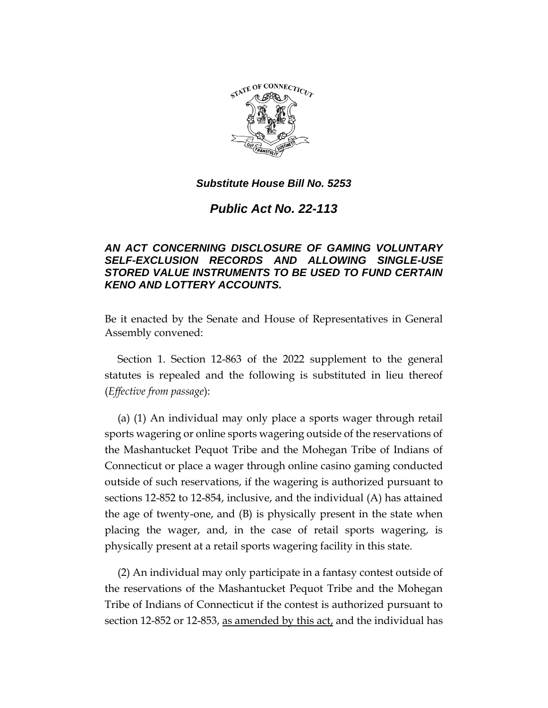

*Public Act No. 22-113*

# *AN ACT CONCERNING DISCLOSURE OF GAMING VOLUNTARY SELF-EXCLUSION RECORDS AND ALLOWING SINGLE-USE STORED VALUE INSTRUMENTS TO BE USED TO FUND CERTAIN KENO AND LOTTERY ACCOUNTS.*

Be it enacted by the Senate and House of Representatives in General Assembly convened:

Section 1. Section 12-863 of the 2022 supplement to the general statutes is repealed and the following is substituted in lieu thereof (*Effective from passage*):

(a) (1) An individual may only place a sports wager through retail sports wagering or online sports wagering outside of the reservations of the Mashantucket Pequot Tribe and the Mohegan Tribe of Indians of Connecticut or place a wager through online casino gaming conducted outside of such reservations, if the wagering is authorized pursuant to sections 12-852 to 12-854, inclusive, and the individual (A) has attained the age of twenty-one, and (B) is physically present in the state when placing the wager, and, in the case of retail sports wagering, is physically present at a retail sports wagering facility in this state.

(2) An individual may only participate in a fantasy contest outside of the reservations of the Mashantucket Pequot Tribe and the Mohegan Tribe of Indians of Connecticut if the contest is authorized pursuant to section 12-852 or 12-853, as amended by this act, and the individual has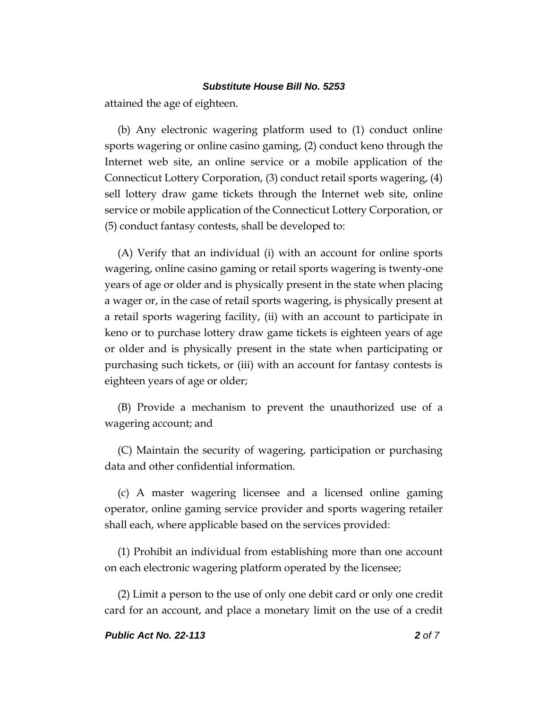attained the age of eighteen.

(b) Any electronic wagering platform used to (1) conduct online sports wagering or online casino gaming, (2) conduct keno through the Internet web site, an online service or a mobile application of the Connecticut Lottery Corporation, (3) conduct retail sports wagering, (4) sell lottery draw game tickets through the Internet web site, online service or mobile application of the Connecticut Lottery Corporation, or (5) conduct fantasy contests, shall be developed to:

(A) Verify that an individual (i) with an account for online sports wagering, online casino gaming or retail sports wagering is twenty-one years of age or older and is physically present in the state when placing a wager or, in the case of retail sports wagering, is physically present at a retail sports wagering facility, (ii) with an account to participate in keno or to purchase lottery draw game tickets is eighteen years of age or older and is physically present in the state when participating or purchasing such tickets, or (iii) with an account for fantasy contests is eighteen years of age or older;

(B) Provide a mechanism to prevent the unauthorized use of a wagering account; and

(C) Maintain the security of wagering, participation or purchasing data and other confidential information.

(c) A master wagering licensee and a licensed online gaming operator, online gaming service provider and sports wagering retailer shall each, where applicable based on the services provided:

(1) Prohibit an individual from establishing more than one account on each electronic wagering platform operated by the licensee;

(2) Limit a person to the use of only one debit card or only one credit card for an account, and place a monetary limit on the use of a credit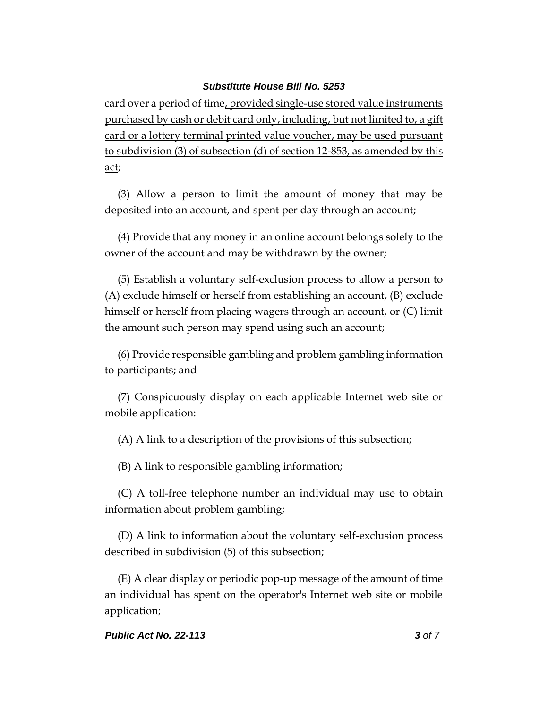card over a period of time, provided single-use stored value instruments purchased by cash or debit card only, including, but not limited to, a gift card or a lottery terminal printed value voucher, may be used pursuant to subdivision (3) of subsection (d) of section 12-853, as amended by this act;

(3) Allow a person to limit the amount of money that may be deposited into an account, and spent per day through an account;

(4) Provide that any money in an online account belongs solely to the owner of the account and may be withdrawn by the owner;

(5) Establish a voluntary self-exclusion process to allow a person to (A) exclude himself or herself from establishing an account, (B) exclude himself or herself from placing wagers through an account, or (C) limit the amount such person may spend using such an account;

(6) Provide responsible gambling and problem gambling information to participants; and

(7) Conspicuously display on each applicable Internet web site or mobile application:

(A) A link to a description of the provisions of this subsection;

(B) A link to responsible gambling information;

(C) A toll-free telephone number an individual may use to obtain information about problem gambling;

(D) A link to information about the voluntary self-exclusion process described in subdivision (5) of this subsection;

(E) A clear display or periodic pop-up message of the amount of time an individual has spent on the operator's Internet web site or mobile application;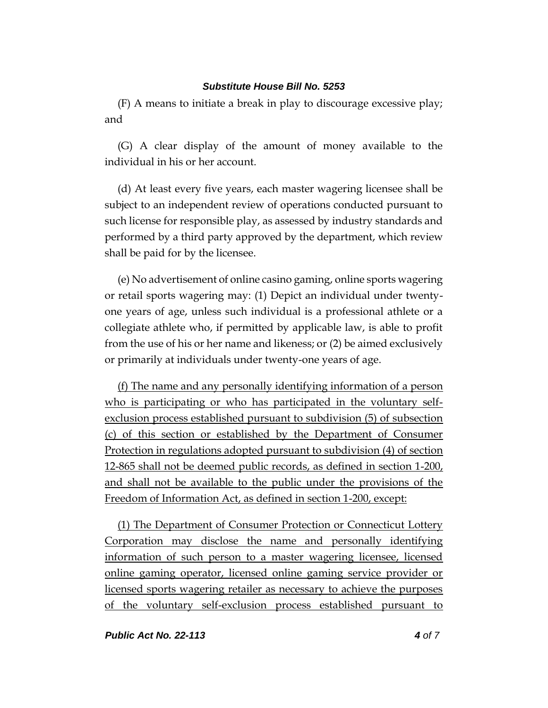(F) A means to initiate a break in play to discourage excessive play; and

(G) A clear display of the amount of money available to the individual in his or her account.

(d) At least every five years, each master wagering licensee shall be subject to an independent review of operations conducted pursuant to such license for responsible play, as assessed by industry standards and performed by a third party approved by the department, which review shall be paid for by the licensee.

(e) No advertisement of online casino gaming, online sports wagering or retail sports wagering may: (1) Depict an individual under twentyone years of age, unless such individual is a professional athlete or a collegiate athlete who, if permitted by applicable law, is able to profit from the use of his or her name and likeness; or (2) be aimed exclusively or primarily at individuals under twenty-one years of age.

(f) The name and any personally identifying information of a person who is participating or who has participated in the voluntary selfexclusion process established pursuant to subdivision (5) of subsection (c) of this section or established by the Department of Consumer Protection in regulations adopted pursuant to subdivision (4) of section 12-865 shall not be deemed public records, as defined in section 1-200, and shall not be available to the public under the provisions of the Freedom of Information Act, as defined in section 1-200, except:

(1) The Department of Consumer Protection or Connecticut Lottery Corporation may disclose the name and personally identifying information of such person to a master wagering licensee, licensed online gaming operator, licensed online gaming service provider or licensed sports wagering retailer as necessary to achieve the purposes of the voluntary self-exclusion process established pursuant to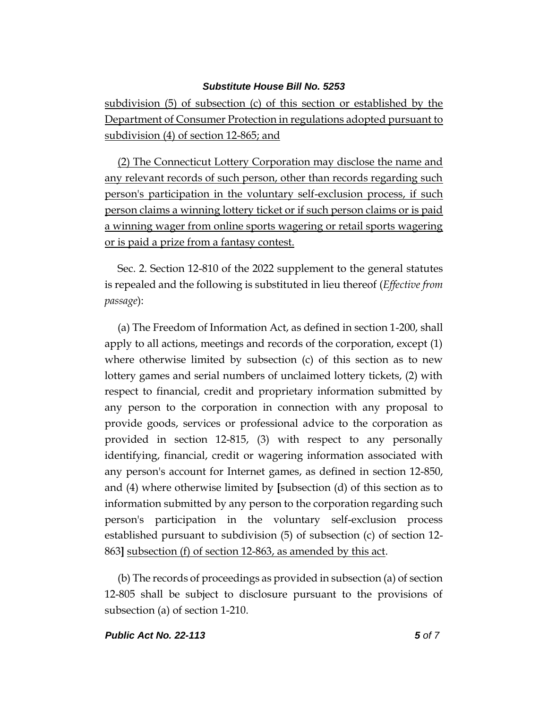subdivision (5) of subsection (c) of this section or established by the Department of Consumer Protection in regulations adopted pursuant to subdivision (4) of section 12-865; and

(2) The Connecticut Lottery Corporation may disclose the name and any relevant records of such person, other than records regarding such person's participation in the voluntary self-exclusion process, if such person claims a winning lottery ticket or if such person claims or is paid a winning wager from online sports wagering or retail sports wagering or is paid a prize from a fantasy contest.

Sec. 2. Section 12-810 of the 2022 supplement to the general statutes is repealed and the following is substituted in lieu thereof (*Effective from passage*):

(a) The Freedom of Information Act, as defined in section 1-200, shall apply to all actions, meetings and records of the corporation, except (1) where otherwise limited by subsection (c) of this section as to new lottery games and serial numbers of unclaimed lottery tickets, (2) with respect to financial, credit and proprietary information submitted by any person to the corporation in connection with any proposal to provide goods, services or professional advice to the corporation as provided in section 12-815, (3) with respect to any personally identifying, financial, credit or wagering information associated with any person's account for Internet games, as defined in section 12-850, and (4) where otherwise limited by **[**subsection (d) of this section as to information submitted by any person to the corporation regarding such person's participation in the voluntary self-exclusion process established pursuant to subdivision (5) of subsection (c) of section 12- 863**]** subsection (f) of section 12-863, as amended by this act.

(b) The records of proceedings as provided in subsection (a) of section 12-805 shall be subject to disclosure pursuant to the provisions of subsection (a) of section 1-210.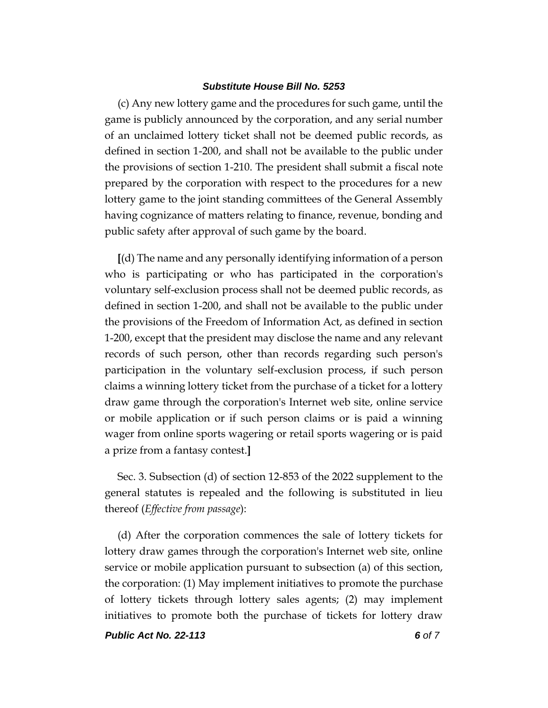(c) Any new lottery game and the procedures for such game, until the game is publicly announced by the corporation, and any serial number of an unclaimed lottery ticket shall not be deemed public records, as defined in section 1-200, and shall not be available to the public under the provisions of section 1-210. The president shall submit a fiscal note prepared by the corporation with respect to the procedures for a new lottery game to the joint standing committees of the General Assembly having cognizance of matters relating to finance, revenue, bonding and public safety after approval of such game by the board.

**[**(d) The name and any personally identifying information of a person who is participating or who has participated in the corporation's voluntary self-exclusion process shall not be deemed public records, as defined in section 1-200, and shall not be available to the public under the provisions of the Freedom of Information Act, as defined in section 1-200, except that the president may disclose the name and any relevant records of such person, other than records regarding such person's participation in the voluntary self-exclusion process, if such person claims a winning lottery ticket from the purchase of a ticket for a lottery draw game through the corporation's Internet web site, online service or mobile application or if such person claims or is paid a winning wager from online sports wagering or retail sports wagering or is paid a prize from a fantasy contest.**]**

Sec. 3. Subsection (d) of section 12-853 of the 2022 supplement to the general statutes is repealed and the following is substituted in lieu thereof (*Effective from passage*):

(d) After the corporation commences the sale of lottery tickets for lottery draw games through the corporation's Internet web site, online service or mobile application pursuant to subsection (a) of this section, the corporation: (1) May implement initiatives to promote the purchase of lottery tickets through lottery sales agents; (2) may implement initiatives to promote both the purchase of tickets for lottery draw